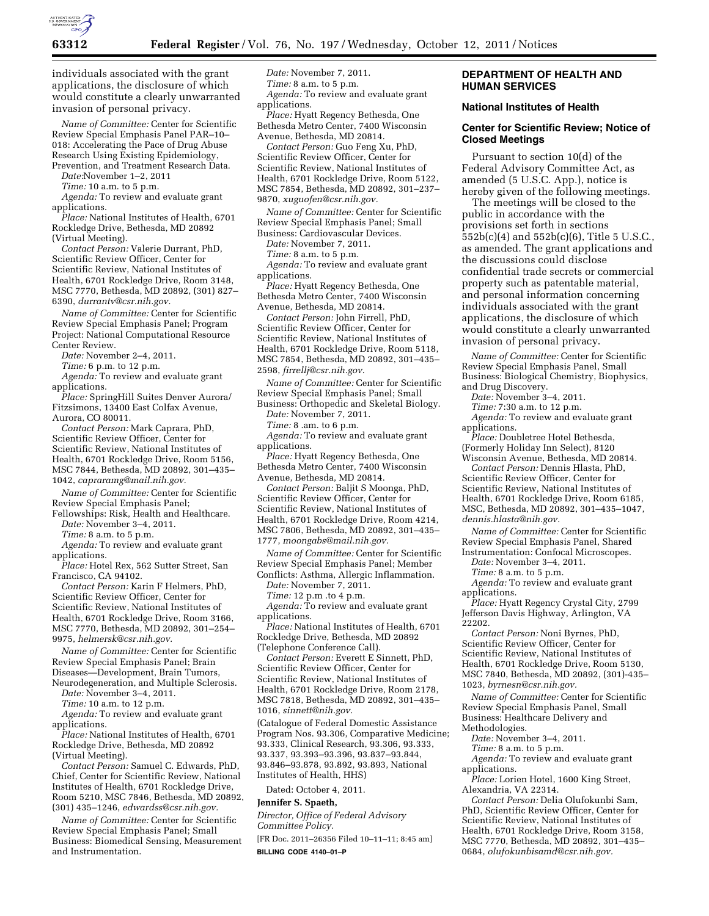

individuals associated with the grant applications, the disclosure of which would constitute a clearly unwarranted invasion of personal privacy.

*Name of Committee:* Center for Scientific Review Special Emphasis Panel PAR–10– 018: Accelerating the Pace of Drug Abuse Research Using Existing Epidemiology, Prevention, and Treatment Research Data.

*Date:*November 1–2, 2011

*Time:* 10 a.m. to 5 p.m.

*Agenda:* To review and evaluate grant applications.

*Place:* National Institutes of Health, 6701 Rockledge Drive, Bethesda, MD 20892 (Virtual Meeting).

*Contact Person:* Valerie Durrant, PhD, Scientific Review Officer, Center for Scientific Review, National Institutes of Health, 6701 Rockledge Drive, Room 3148, MSC 7770, Bethesda, MD 20892, (301) 827– 6390, *[durrantv@csr.nih.gov.](mailto:durrantv@csr.nih.gov)* 

*Name of Committee:* Center for Scientific Review Special Emphasis Panel; Program Project: National Computational Resource Center Review.

*Date:* November 2–4, 2011.

*Time:* 6 p.m. to 12 p.m.

*Agenda:* To review and evaluate grant applications.

*Place:* SpringHill Suites Denver Aurora/ Fitzsimons, 13400 East Colfax Avenue, Aurora, CO 80011.

*Contact Person:* Mark Caprara, PhD, Scientific Review Officer, Center for Scientific Review, National Institutes of Health, 6701 Rockledge Drive, Room 5156, MSC 7844, Bethesda, MD 20892, 301–435– 1042, *[capraramg@mail.nih.gov.](mailto:capraramg@mail.nih.gov)* 

*Name of Committee:* Center for Scientific Review Special Emphasis Panel;

Fellowships: Risk, Health and Healthcare. *Date:* November 3–4, 2011.

*Time:* 8 a.m. to 5 p.m.

*Agenda:* To review and evaluate grant applications.

*Place:* Hotel Rex, 562 Sutter Street, San Francisco, CA 94102.

*Contact Person:* Karin F Helmers, PhD, Scientific Review Officer, Center for Scientific Review, National Institutes of Health, 6701 Rockledge Drive, Room 3166, MSC 7770, Bethesda, MD 20892, 301–254– 9975, *[helmersk@csr.nih.gov.](mailto:helmersk@csr.nih.gov)* 

*Name of Committee:* Center for Scientific Review Special Emphasis Panel; Brain Diseases—Development, Brain Tumors,

Neurodegeneration, and Multiple Sclerosis.

*Date:* November 3–4, 2011.

*Time:* 10 a.m. to 12 p.m.

*Agenda:* To review and evaluate grant applications.

*Place:* National Institutes of Health, 6701 Rockledge Drive, Bethesda, MD 20892 (Virtual Meeting).

*Contact Person:* Samuel C. Edwards, PhD, Chief, Center for Scientific Review, National Institutes of Health, 6701 Rockledge Drive, Room 5210, MSC 7846, Bethesda, MD 20892, (301) 435–1246, *[edwardss@csr.nih.gov.](mailto:edwardss@csr.nih.gov)* 

*Name of Committee:* Center for Scientific Review Special Emphasis Panel; Small Business: Biomedical Sensing, Measurement and Instrumentation.

*Date:* November 7, 2011. *Time:* 8 a.m. to 5 p.m. *Agenda:* To review and evaluate grant applications.

*Place:* Hyatt Regency Bethesda, One Bethesda Metro Center, 7400 Wisconsin Avenue, Bethesda, MD 20814.

*Contact Person:* Guo Feng Xu, PhD, Scientific Review Officer, Center for Scientific Review, National Institutes of Health, 6701 Rockledge Drive, Room 5122, MSC 7854, Bethesda, MD 20892, 301–237– 9870, *[xuguofen@csr.nih.gov.](mailto:xuguofen@csr.nih.gov)* 

*Name of Committee:* Center for Scientific Review Special Emphasis Panel; Small Business: Cardiovascular Devices.

*Date:* November 7, 2011.

*Time:* 8 a.m. to 5 p.m.

*Agenda:* To review and evaluate grant applications.

*Place:* Hyatt Regency Bethesda, One Bethesda Metro Center, 7400 Wisconsin Avenue, Bethesda, MD 20814.

*Contact Person:* John Firrell, PhD, Scientific Review Officer, Center for Scientific Review, National Institutes of Health, 6701 Rockledge Drive, Room 5118, MSC 7854, Bethesda, MD 20892, 301–435– 2598, *[firrellj@csr.nih.gov.](mailto:firrellj@csr.nih.gov)* 

*Name of Committee:* Center for Scientific Review Special Emphasis Panel; Small Business: Orthopedic and Skeletal Biology.

*Date:* November 7, 2011.

*Time:* 8 .am. to 6 p.m.

*Agenda:* To review and evaluate grant applications.

*Place:* Hyatt Regency Bethesda, One Bethesda Metro Center, 7400 Wisconsin Avenue, Bethesda, MD 20814.

*Contact Person:* Baljit S Moonga, PhD, Scientific Review Officer, Center for Scientific Review, National Institutes of Health, 6701 Rockledge Drive, Room 4214, MSC 7806, Bethesda, MD 20892, 301–435– 1777, *[moongabs@mail.nih.gov.](mailto:moongabs@mail.nih.gov)* 

*Name of Committee:* Center for Scientific Review Special Emphasis Panel; Member Conflicts: Asthma, Allergic Inflammation.

*Date:* November 7, 2011.

*Time:* 12 p.m .to 4 p.m. *Agenda:* To review and evaluate grant applications.

*Place:* National Institutes of Health, 6701 Rockledge Drive, Bethesda, MD 20892 (Telephone Conference Call).

*Contact Person:* Everett E Sinnett, PhD, Scientific Review Officer, Center for Scientific Review, National Institutes of Health, 6701 Rockledge Drive, Room 2178, MSC 7818, Bethesda, MD 20892, 301–435– 1016, *[sinnett@nih.gov.](mailto:sinnett@nih.gov)* 

(Catalogue of Federal Domestic Assistance Program Nos. 93.306, Comparative Medicine; 93.333, Clinical Research, 93.306, 93.333, 93.337, 93.393–93.396, 93.837–93.844, 93.846–93.878, 93.892, 93.893, National Institutes of Health, HHS)

Dated: October 4, 2011.

# **Jennifer S. Spaeth,**

*Director, Office of Federal Advisory Committee Policy.* 

[FR Doc. 2011–26356 Filed 10–11–11; 8:45 am] **BILLING CODE 4140–01–P** 

### **DEPARTMENT OF HEALTH AND HUMAN SERVICES**

#### **National Institutes of Health**

### **Center for Scientific Review; Notice of Closed Meetings**

Pursuant to section 10(d) of the Federal Advisory Committee Act, as amended (5 U.S.C. App.), notice is hereby given of the following meetings.

The meetings will be closed to the public in accordance with the provisions set forth in sections 552b(c)(4) and 552b(c)(6), Title 5 U.S.C., as amended. The grant applications and the discussions could disclose confidential trade secrets or commercial property such as patentable material, and personal information concerning individuals associated with the grant applications, the disclosure of which would constitute a clearly unwarranted invasion of personal privacy.

*Name of Committee:* Center for Scientific Review Special Emphasis Panel, Small Business: Biological Chemistry, Biophysics, and Drug Discovery.

*Date:* November 3–4, 2011.

*Time:* 7:30 a.m. to 12 p.m.

*Agenda:* To review and evaluate grant applications.

*Place:* Doubletree Hotel Bethesda, (Formerly Holiday Inn Select), 8120

Wisconsin Avenue, Bethesda, MD 20814. *Contact Person:* Dennis Hlasta, PhD,

Scientific Review Officer, Center for Scientific Review, National Institutes of Health, 6701 Rockledge Drive, Room 6185, MSC, Bethesda, MD 20892, 301–435–1047, *[dennis.hlasta@nih.gov.](mailto:dennis.hlasta@nih.gov)* 

*Name of Committee:* Center for Scientific Review Special Emphasis Panel, Shared

Instrumentation: Confocal Microscopes. *Date:* November 3–4, 2011.

*Time:* 8 a.m. to 5 p.m.

*Agenda:* To review and evaluate grant applications.

*Place:* Hyatt Regency Crystal City, 2799 Jefferson Davis Highway, Arlington, VA 22202.

*Contact Person:* Noni Byrnes, PhD, Scientific Review Officer, Center for Scientific Review, National Institutes of Health, 6701 Rockledge Drive, Room 5130, MSC 7840, Bethesda, MD 20892, (301)-435– 1023, *[byrnesn@csr.nih.gov.](mailto:byrnesn@csr.nih.gov)* 

*Name of Committee:* Center for Scientific Review Special Emphasis Panel, Small Business: Healthcare Delivery and Methodologies.

*Date:* November 3–4, 2011.

*Time:* 8 a.m. to 5 p.m.

*Agenda:* To review and evaluate grant applications.

*Place:* Lorien Hotel, 1600 King Street, Alexandria, VA 22314.

*Contact Person:* Delia Olufokunbi Sam, PhD, Scientific Review Officer, Center for Scientific Review, National Institutes of Health, 6701 Rockledge Drive, Room 3158, MSC 7770, Bethesda, MD 20892, 301–435– 0684, *[olufokunbisamd@csr.nih.gov.](mailto:olufokunbisamd@csr.nih.gov)*